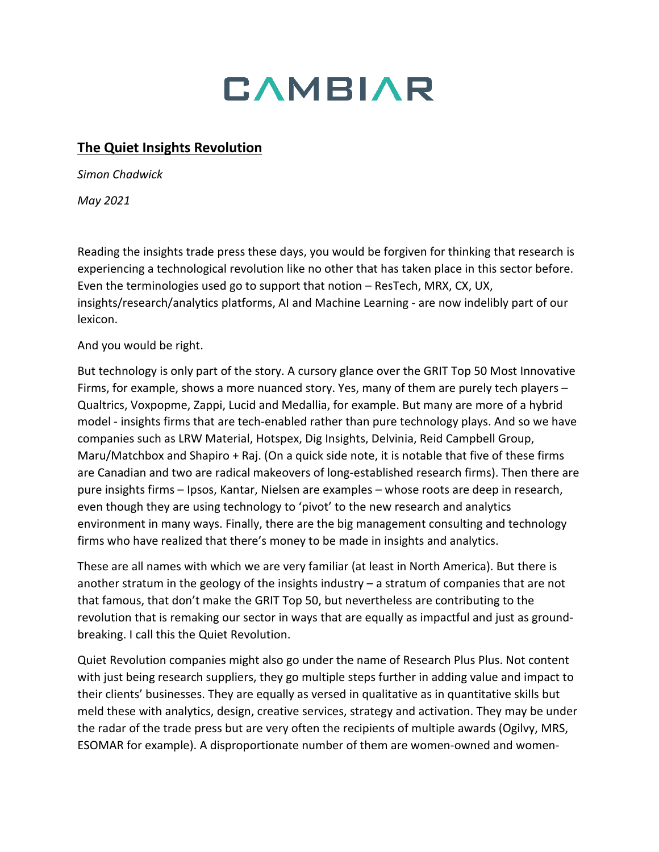

## **The Quiet Insights Revolution**

*Simon Chadwick*

*May 2021*

Reading the insights trade press these days, you would be forgiven for thinking that research is experiencing a technological revolution like no other that has taken place in this sector before. Even the terminologies used go to support that notion – ResTech, MRX, CX, UX, insights/research/analytics platforms, AI and Machine Learning - are now indelibly part of our lexicon.

And you would be right.

But technology is only part of the story. A cursory glance over the GRIT Top 50 Most Innovative Firms, for example, shows a more nuanced story. Yes, many of them are purely tech players – Qualtrics, Voxpopme, Zappi, Lucid and Medallia, for example. But many are more of a hybrid model - insights firms that are tech-enabled rather than pure technology plays. And so we have companies such as LRW Material, Hotspex, Dig Insights, Delvinia, Reid Campbell Group, Maru/Matchbox and Shapiro + Raj. (On a quick side note, it is notable that five of these firms are Canadian and two are radical makeovers of long-established research firms). Then there are pure insights firms – Ipsos, Kantar, Nielsen are examples – whose roots are deep in research, even though they are using technology to 'pivot' to the new research and analytics environment in many ways. Finally, there are the big management consulting and technology firms who have realized that there's money to be made in insights and analytics.

These are all names with which we are very familiar (at least in North America). But there is another stratum in the geology of the insights industry – a stratum of companies that are not that famous, that don't make the GRIT Top 50, but nevertheless are contributing to the revolution that is remaking our sector in ways that are equally as impactful and just as groundbreaking. I call this the Quiet Revolution.

Quiet Revolution companies might also go under the name of Research Plus Plus. Not content with just being research suppliers, they go multiple steps further in adding value and impact to their clients' businesses. They are equally as versed in qualitative as in quantitative skills but meld these with analytics, design, creative services, strategy and activation. They may be under the radar of the trade press but are very often the recipients of multiple awards (Ogilvy, MRS, ESOMAR for example). A disproportionate number of them are women-owned and women-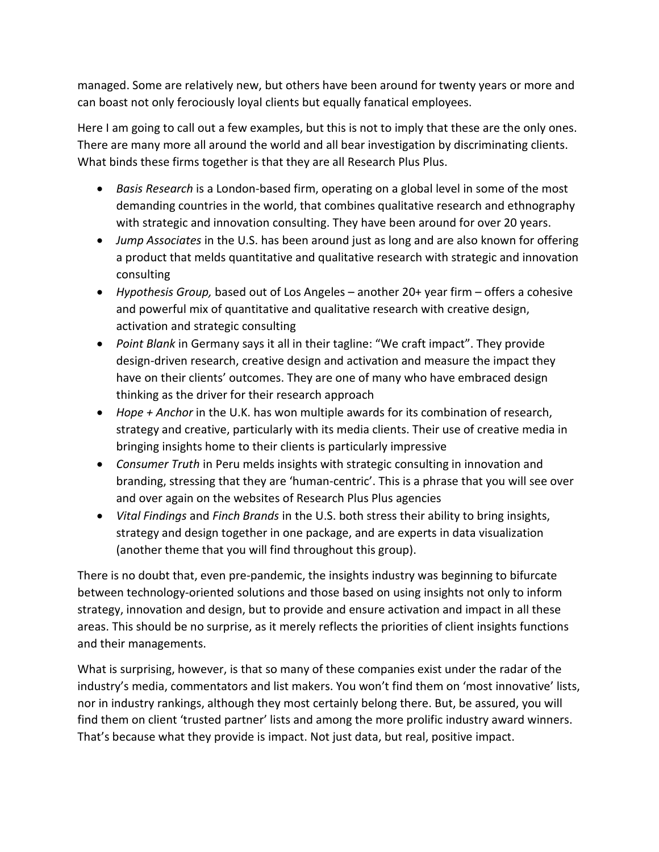managed. Some are relatively new, but others have been around for twenty years or more and can boast not only ferociously loyal clients but equally fanatical employees.

Here I am going to call out a few examples, but this is not to imply that these are the only ones. There are many more all around the world and all bear investigation by discriminating clients. What binds these firms together is that they are all Research Plus Plus.

- *Basis Research* is a London-based firm, operating on a global level in some of the most demanding countries in the world, that combines qualitative research and ethnography with strategic and innovation consulting. They have been around for over 20 years.
- *Jump Associates* in the U.S. has been around just as long and are also known for offering a product that melds quantitative and qualitative research with strategic and innovation consulting
- *Hypothesis Group,* based out of Los Angeles another 20+ year firm offers a cohesive and powerful mix of quantitative and qualitative research with creative design, activation and strategic consulting
- *Point Blank* in Germany says it all in their tagline: "We craft impact". They provide design-driven research, creative design and activation and measure the impact they have on their clients' outcomes. They are one of many who have embraced design thinking as the driver for their research approach
- *Hope + Anchor* in the U.K. has won multiple awards for its combination of research, strategy and creative, particularly with its media clients. Their use of creative media in bringing insights home to their clients is particularly impressive
- *Consumer Truth* in Peru melds insights with strategic consulting in innovation and branding, stressing that they are 'human-centric'. This is a phrase that you will see over and over again on the websites of Research Plus Plus agencies
- *Vital Findings* and *Finch Brands* in the U.S. both stress their ability to bring insights, strategy and design together in one package, and are experts in data visualization (another theme that you will find throughout this group).

There is no doubt that, even pre-pandemic, the insights industry was beginning to bifurcate between technology-oriented solutions and those based on using insights not only to inform strategy, innovation and design, but to provide and ensure activation and impact in all these areas. This should be no surprise, as it merely reflects the priorities of client insights functions and their managements.

What is surprising, however, is that so many of these companies exist under the radar of the industry's media, commentators and list makers. You won't find them on 'most innovative' lists, nor in industry rankings, although they most certainly belong there. But, be assured, you will find them on client 'trusted partner' lists and among the more prolific industry award winners. That's because what they provide is impact. Not just data, but real, positive impact.